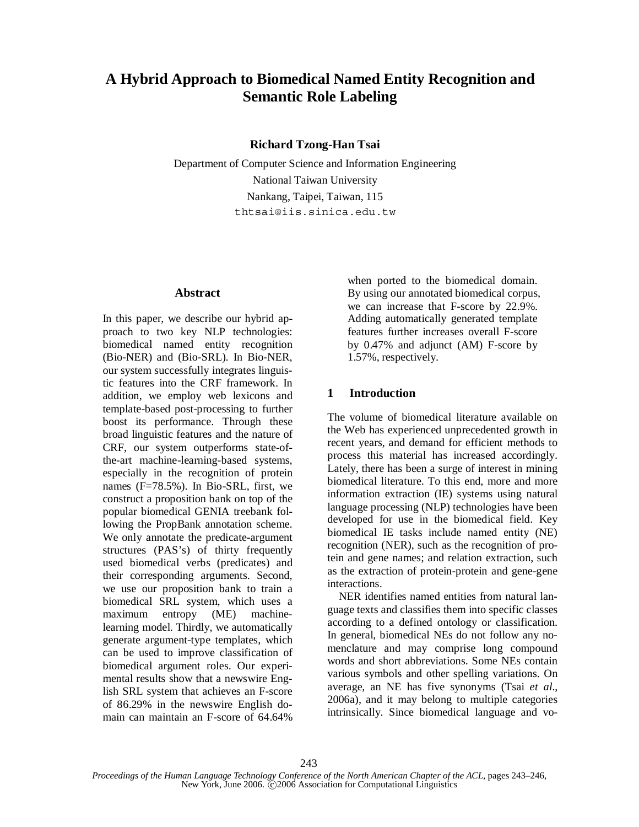# **A Hybrid Approach to Biomedical Named Entity Recognition and Semantic Role Labeling**

**Richard Tzong-Han Tsai**

Department of Computer Science and Information Engineering National Taiwan University Nankang, Taipei, Taiwan, 115 thtsai@iis.sinica.edu.tw

## **Abstract**

In this paper, we describe our hybrid approach to two key NLP technologies: biomedical named entity recognition (Bio-NER) and (Bio-SRL). In Bio-NER, our system successfully integrates linguistic features into the CRF framework. In addition, we employ web lexicons and template-based post-processing to further boost its performance. Through these broad linguistic features and the nature of CRF, our system outperforms state-ofthe-art machine-learning-based systems, especially in the recognition of protein names (F=78.5%). In Bio-SRL, first, we construct a proposition bank on top of the popular biomedical GENIA treebank following the PropBank annotation scheme. We only annotate the predicate-argument structures (PAS's) of thirty frequently used biomedical verbs (predicates) and their corresponding arguments. Second, we use our proposition bank to train a biomedical SRL system, which uses a maximum entropy (ME) machinelearning model. Thirdly, we automatically generate argument-type templates, which can be used to improve classification of biomedical argument roles. Our experimental results show that a newswire English SRL system that achieves an F-score of 86.29% in the newswire English domain can maintain an F-score of 64.64%

when ported to the biomedical domain. By using our annotated biomedical corpus, we can increase that F-score by 22.9%. Adding automatically generated template features further increases overall F-score by 0.47% and adjunct (AM) F-score by 1.57%, respectively.

## **1 Introduction**

The volume of biomedical literature available on the Web has experienced unprecedented growth in recent years, and demand for efficient methods to process this material has increased accordingly. Lately, there has been a surge of interest in mining biomedical literature. To this end, more and more information extraction (IE) systems using natural language processing (NLP) technologies have been developed for use in the biomedical field. Key biomedical IE tasks include named entity (NE) recognition (NER), such as the recognition of protein and gene names; and relation extraction, such as the extraction of protein-protein and gene-gene interactions.

NER identifies named entities from natural language texts and classifies them into specific classes according to a defined ontology or classification. In general, biomedical NEs do not follow any nomenclature and may comprise long compound words and short abbreviations. Some NEs contain various symbols and other spelling variations. On average, an NE has five synonyms (Tsai *et al.*, 2006a), and it may belong to multiple categories intrinsically. Since biomedical language and vo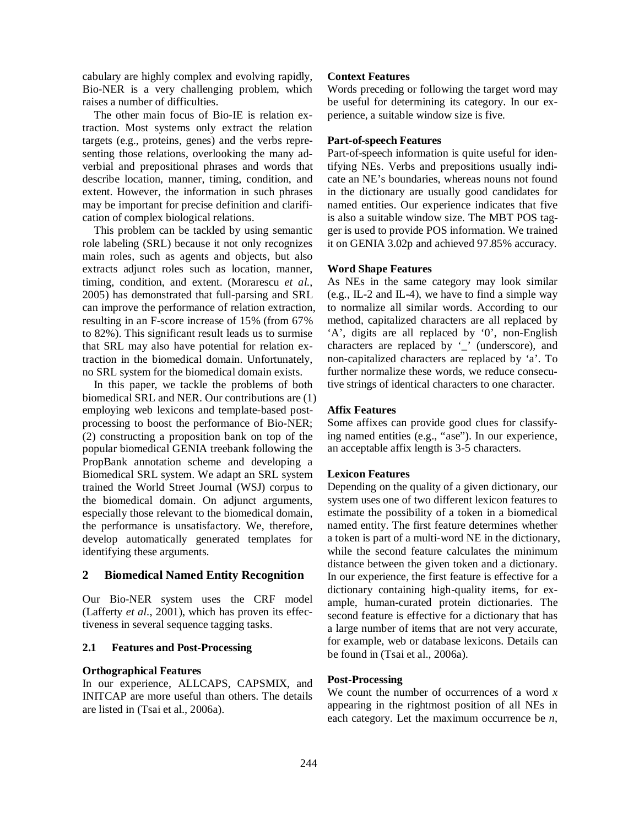cabulary are highly complex and evolving rapidly, Bio-NER is a very challenging problem, which raises a number of difficulties.

The other main focus of Bio-IE is relation extraction. Most systems only extract the relation targets (e.g., proteins, genes) and the verbs representing those relations, overlooking the many adverbial and prepositional phrases and words that describe location, manner, timing, condition, and extent. However, the information in such phrases may be important for precise definition and clarification of complex biological relations.

This problem can be tackled by using semantic role labeling (SRL) because it not only recognizes main roles, such as agents and objects, but also extracts adjunct roles such as location, manner, timing, condition, and extent. (Morarescu *et al.*, 2005) has demonstrated that full-parsing and SRL can improve the performance of relation extraction, resulting in an F-score increase of 15% (from 67% to 82%). This significant result leads us to surmise that SRL may also have potential for relation extraction in the biomedical domain. Unfortunately, no SRL system for the biomedical domain exists.

In this paper, we tackle the problems of both biomedical SRL and NER. Our contributions are (1) employing web lexicons and template-based postprocessing to boost the performance of Bio-NER; (2) constructing a proposition bank on top of the popular biomedical GENIA treebank following the PropBank annotation scheme and developing a Biomedical SRL system. We adapt an SRL system trained the World Street Journal (WSJ) corpus to the biomedical domain. On adjunct arguments, especially those relevant to the biomedical domain, the performance is unsatisfactory. We, therefore, develop automatically generated templates for identifying these arguments.

## **2 Biomedical Named Entity Recognition**

Our Bio-NER system uses the CRF model (Lafferty *et al.*, 2001), which has proven its effectiveness in several sequence tagging tasks.

### **2.1 Features and Post-Processing**

#### **Orthographical Features**

In our experience, ALLCAPS, CAPSMIX, and INITCAP are more useful than others. The details are listed in (Tsai et al., 2006a).

#### **Context Features**

Words preceding or following the target word may be useful for determining its category. In our experience, a suitable window size is five.

#### **Part-of-speech Features**

Part-of-speech information is quite useful for identifying NEs. Verbs and prepositions usually indicate an NE's boundaries, whereas nouns not found in the dictionary are usually good candidates for named entities. Our experience indicates that five is also a suitable window size. The MBT POS tagger is used to provide POS information. We trained it on GENIA 3.02p and achieved 97.85% accuracy.

#### **Word Shape Features**

As NEs in the same category may look similar (e.g., IL-2 and IL-4), we have to find a simple way to normalize all similar words. According to our method, capitalized characters are all replaced by 'A', digits are all replaced by '0', non-English characters are replaced by '\_' (underscore), and non-capitalized characters are replaced by 'a'. To further normalize these words, we reduce consecutive strings of identical characters to one character.

#### **Affix Features**

Some affixes can provide good clues for classifying named entities (e.g., "ase"). In our experience, an acceptable affix length is 3-5 characters.

#### **Lexicon Features**

Depending on the quality of a given dictionary, our system uses one of two different lexicon features to estimate the possibility of a token in a biomedical named entity. The first feature determines whether a token is part of a multi-word NE in the dictionary, while the second feature calculates the minimum distance between the given token and a dictionary. In our experience, the first feature is effective for a dictionary containing high-quality items, for example, human-curated protein dictionaries. The second feature is effective for a dictionary that has a large number of items that are not very accurate, for example, web or database lexicons. Details can be found in (Tsai et al., 2006a).

#### **Post-Processing**

We count the number of occurrences of a word *x* appearing in the rightmost position of all NEs in each category. Let the maximum occurrence be *n*,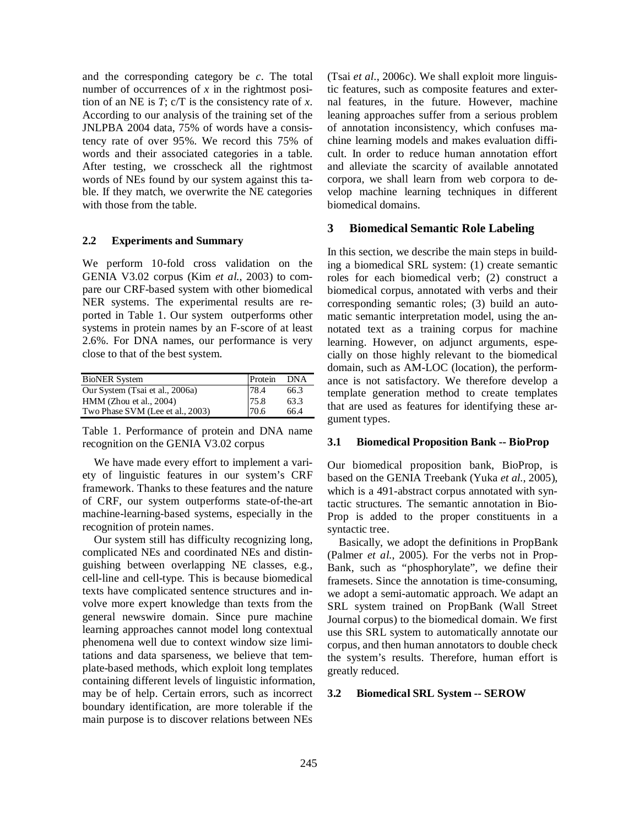and the corresponding category be *c*. The total number of occurrences of *x* in the rightmost position of an NE is *T*; c/T is the consistency rate of *x*. According to our analysis of the training set of the JNLPBA 2004 data, 75% of words have a consistency rate of over 95%. We record this 75% of words and their associated categories in a table. After testing, we crosscheck all the rightmost words of NEs found by our system against this table. If they match, we overwrite the NE categories with those from the table.

#### **2.2 Experiments and Summary**

We perform 10-fold cross validation on the GENIA V3.02 corpus (Kim *et al.*, 2003) to compare our CRF-based system with other biomedical NER systems. The experimental results are reported in Table 1. Our system outperforms other systems in protein names by an F-score of at least 2.6%. For DNA names, our performance is very close to that of the best system.

| <b>BioNER</b> System             | Protein | <b>DNA</b> |
|----------------------------------|---------|------------|
| Our System (Tsai et al., 2006a)  | 78.4    | 66.3       |
| $HMM$ (Zhou et al., 2004)        | 75.8    | 63.3       |
| Two Phase SVM (Lee et al., 2003) | 70.6    | 66.4       |

Table 1. Performance of protein and DNA name recognition on the GENIA V3.02 corpus

We have made every effort to implement a variety of linguistic features in our system's CRF framework. Thanks to these features and the nature of CRF, our system outperforms state-of-the-art machine-learning-based systems, especially in the recognition of protein names.

Our system still has difficulty recognizing long, complicated NEs and coordinated NEs and distinguishing between overlapping NE classes, e.g., cell-line and cell-type. This is because biomedical texts have complicated sentence structures and involve more expert knowledge than texts from the general newswire domain. Since pure machine learning approaches cannot model long contextual phenomena well due to context window size limitations and data sparseness, we believe that template-based methods, which exploit long templates containing different levels of linguistic information, may be of help. Certain errors, such as incorrect boundary identification, are more tolerable if the main purpose is to discover relations between NEs

(Tsai *et al.*, 2006c). We shall exploit more linguistic features, such as composite features and external features, in the future. However, machine leaning approaches suffer from a serious problem of annotation inconsistency, which confuses machine learning models and makes evaluation difficult. In order to reduce human annotation effort and alleviate the scarcity of available annotated corpora, we shall learn from web corpora to develop machine learning techniques in different biomedical domains.

#### **3 Biomedical Semantic Role Labeling**

In this section, we describe the main steps in building a biomedical SRL system: (1) create semantic roles for each biomedical verb; (2) construct a biomedical corpus, annotated with verbs and their corresponding semantic roles; (3) build an automatic semantic interpretation model, using the annotated text as a training corpus for machine learning. However, on adjunct arguments, especially on those highly relevant to the biomedical domain, such as AM-LOC (location), the performance is not satisfactory. We therefore develop a template generation method to create templates that are used as features for identifying these argument types.

#### **3.1 Biomedical Proposition Bank -- BioProp**

Our biomedical proposition bank, BioProp, is based on the GENIA Treebank (Yuka *et al.*, 2005), which is a 491-abstract corpus annotated with syntactic structures. The semantic annotation in Bio-Prop is added to the proper constituents in a syntactic tree.

Basically, we adopt the definitions in PropBank (Palmer *et al.*, 2005). For the verbs not in Prop-Bank, such as "phosphorylate", we define their framesets. Since the annotation is time-consuming, we adopt a semi-automatic approach. We adapt an SRL system trained on PropBank (Wall Street Journal corpus) to the biomedical domain. We first use this SRL system to automatically annotate our corpus, and then human annotators to double check the system's results. Therefore, human effort is greatly reduced.

#### **3.2 Biomedical SRL System -- SEROW**